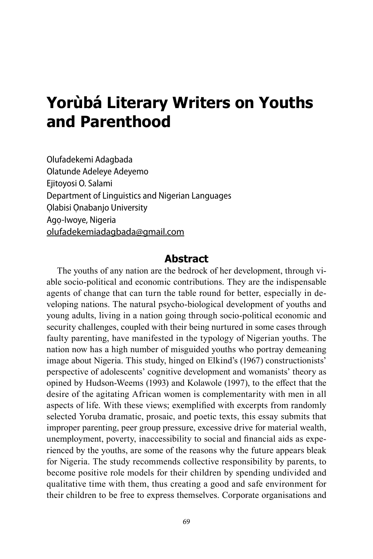# **Yorùbá Literary Writers on Youths and Parenthood**

Olufadekemi Adagbada Olatunde Adeleye Adeyemo Ejitoyosi O. Salami Department of Linguistics and Nigerian Languages Ọlabisi Ọnabanjo University Agọ-Iwoye, Nigeria olufadekemiadagbada@gmail.com

## **Abstract**

The youths of any nation are the bedrock of her development, through viable socio-political and economic contributions. They are the indispensable agents of change that can turn the table round for better, especially in developing nations. The natural psycho-biological development of youths and young adults, living in a nation going through socio-political economic and security challenges, coupled with their being nurtured in some cases through faulty parenting, have manifested in the typology of Nigerian youths. The nation now has a high number of misguided youths who portray demeaning image about Nigeria. This study, hinged on Elkind's (1967) constructionists' perspective of adolescents' cognitive development and womanists' theory as opined by Hudson-Weems (1993) and Kolawole (1997), to the effect that the desire of the agitating African women is complementarity with men in all aspects of life. With these views; exemplified with excerpts from randomly selected Yoruba dramatic, prosaic, and poetic texts, this essay submits that improper parenting, peer group pressure, excessive drive for material wealth, unemployment, poverty, inaccessibility to social and financial aids as experienced by the youths, are some of the reasons why the future appears bleak for Nigeria. The study recommends collective responsibility by parents, to become positive role models for their children by spending undivided and qualitative time with them, thus creating a good and safe environment for their children to be free to express themselves. Corporate organisations and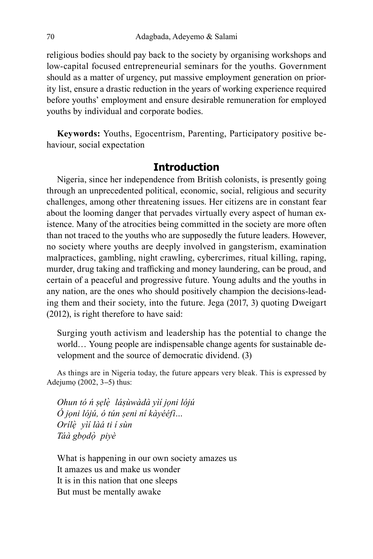religious bodies should pay back to the society by organising workshops and low-capital focused entrepreneurial seminars for the youths. Government should as a matter of urgency, put massive employment generation on priority list, ensure a drastic reduction in the years of working experience required before youths' employment and ensure desirable remuneration for employed youths by individual and corporate bodies.

**Keywords:** Youths, Egocentrism, Parenting, Participatory positive behaviour, social expectation

#### **Introduction**

Nigeria, since her independence from British colonists, is presently going through an unprecedented political, economic, social, religious and security challenges, among other threatening issues. Her citizens are in constant fear about the looming danger that pervades virtually every aspect of human existence. Many of the atrocities being committed in the society are more often than not traced to the youths who are supposedly the future leaders. However, no society where youths are deeply involved in gangsterism, examination malpractices, gambling, night crawling, cybercrimes, ritual killing, raping, murder, drug taking and trafficking and money laundering, can be proud, and certain of a peaceful and progressive future. Young adults and the youths in any nation, are the ones who should positively champion the decisions-leading them and their society, into the future. Jega (2017, 3) quoting Dweigart (2012), is right therefore to have said:

Surging youth activism and leadership has the potential to change the world… Young people are indispensable change agents for sustainable development and the source of democratic dividend. (3)

As things are in Nigeria today, the future appears very bleak. This is expressed by Adejumọ (2002, 3**–**5) thus:

*Ohun tó ń ṣẹlè ̣ láṣùwàdà yìí jọni lójú Ó jọni lójú, ó tún ṣeni ní kàyééfì… Orílè ̣ yìí làá ti í sùn Táà gbọdọ̀ piyè*

What is happening in our own society amazes us It amazes us and make us wonder It is in this nation that one sleeps But must be mentally awake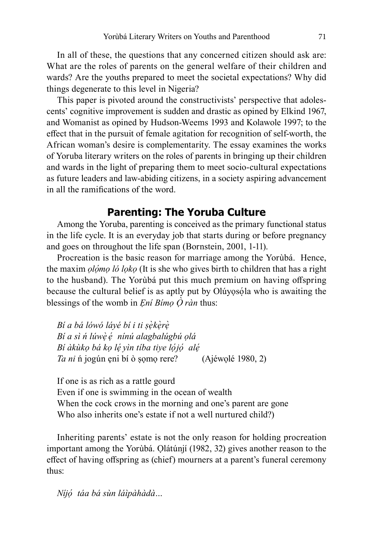In all of these, the questions that any concerned citizen should ask are: What are the roles of parents on the general welfare of their children and wards? Are the youths prepared to meet the societal expectations? Why did things degenerate to this level in Nigeria?

This paper is pivoted around the constructivists' perspective that adolescents' cognitive improvement is sudden and drastic as opined by Elkind 1967, and Womanist as opined by Hudson-Weems 1993 and Kolawole 1997; to the effect that in the pursuit of female agitation for recognition of self-worth, the African woman's desire is complementarity. The essay examines the works of Yoruba literary writers on the roles of parents in bringing up their children and wards in the light of preparing them to meet socio-cultural expectations as future leaders and law-abiding citizens, in a society aspiring advancement in all the ramifications of the word.

## **Parenting: The Yoruba Culture**

Among the Yoruba, parenting is conceived as the primary functional status in the life cycle. It is an everyday job that starts during or before pregnancy and goes on throughout the life span (Bornstein, 2001, 1-11).

Procreation is the basic reason for marriage among the Yorùbá. Hence, the maxim *ọló mọ l ̣ ó lọkọ* (It is she who gives birth to children that has a right to the husband). The Yorùbá put this much premium on having offspring because the cultural belief is as aptly put by Olúyosóla who is awaiting the blessings of the womb in *Ẹní Bímọ Ọ̀ ràn* thus:

*Bí a bá lówó láyé bí i ti ṣèkẹ ̀rẹ ̀ ̣ Bí a sì ń lúwè ̣é ̣ nínú alagbalúgbú ọlá Bí àkùkọ bá kọ lé ̣yìn tíba tiye lọ́jọ́ alé ̣ Ta ni* n jogún eni bí ò somo rere? (Ajéwolé 1980, 2)

If one is as rich as a rattle gourd Even if one is swimming in the ocean of wealth When the cock crows in the morning and one's parent are gone Who also inherits one's estate if not a well nurtured child?)

Inheriting parents' estate is not the only reason for holding procreation important among the Yorùbá. Ọlátúnjí (1982, 32) gives another reason to the effect of having offspring as (chief) mourners at a parent's funeral ceremony thus:

*Níjọ́ táa bá sùn láìpàhàdà…*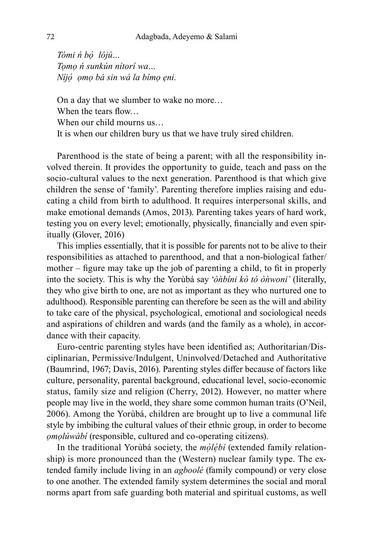*Tómi ń bọ́ lójú… Tọmọ ń sunkún nítorí wa… Níjọ́ ọmọ bá sin wá la bímọ ẹni.*

On a day that we slumber to wake no more… When the tears flow… When our child mourns us… It is when our children bury us that we have truly sired children.

Parenthood is the state of being a parent; with all the responsibility involved therein. It provides the opportunity to guide, teach and pass on the socio-cultural values to the next generation. Parenthood is that which give children the sense of 'family'. Parenting therefore implies raising and educating a child from birth to adulthood. It requires interpersonal skills, and make emotional demands (Amos, 2013). Parenting takes years of hard work, testing you on every level; emotionally, physically, financially and even spiritually (Glover, 2016)

This implies essentially, that it is possible for parents not to be alive to their responsibilities as attached to parenthood, and that a non-biological father/ mother – figure may take up the job of parenting a child, to fit in properly into the society. This is why the Yorùbá say '*òǹbíni kò tó òǹwoni'* (literally, they who give birth to one, are not as important as they who nurtured one to adulthood). Responsible parenting can therefore be seen as the will and ability to take care of the physical, psychological, emotional and sociological needs and aspirations of children and wards (and the family as a whole), in accordance with their capacity.

Euro-centric parenting styles have been identified as; Authoritarian/Disciplinarian, Permissive/Indulgent, Uninvolved/Detached and Authoritative (Baumrind, 1967; Davis, 2016). Parenting styles differ because of factors like culture, personality, parental background, educational level, socio-economic status, family size and religion (Cherry, 2012). However, no matter where people may live in the world, they share some common human traits (O'Neil, 2006). Among the Yorùbá, children are brought up to live a communal life style by imbibing the cultural values of their ethnic group, in order to become *ọmọlúwàbí* (responsible, cultured and co-operating citizens).

In the traditional Yorùbá society, the *mò lẹ ́bí ̣* (extended family relationship) is more pronounced than the (Western) nuclear family type. The extended family include living in an *agboolé* (family compound) or very close to one another. The extended family system determines the social and moral norms apart from safe guarding both material and spiritual customs, as well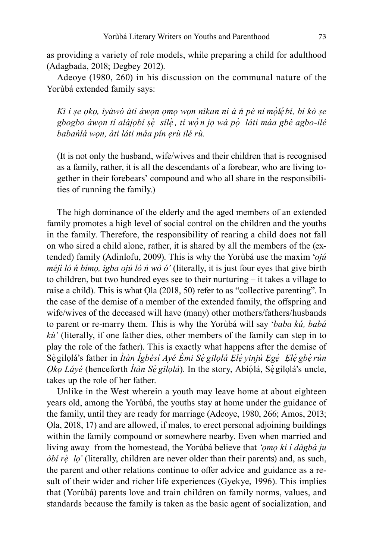as providing a variety of role models, while preparing a child for adulthood (Adagbada, 2018; Degbey 2012).

Adeoye (1980, 260) in his discussion on the communal nature of the Yorùbá extended family says:

*Kì í ṣe ọkọ, ìyàwó àti àwọn ọmọ wọn nìkan ni à ń pè ní mò lẹ ́ ̣bí, bí kò ṣe gbogbo àwọn tí alájọbí ṣè ̣ sílè ̣, tí wọ́n jọ wà pọ̀ láti máa gbé agbo-ilé babańlá wọn, àti láti máa pín ẹrù ilé rù.*

(It is not only the husband, wife/wives and their children that is recognised as a family, rather, it is all the descendants of a forebear, who are living together in their forebears' compound and who all share in the responsibilities of running the family.)

The high dominance of the elderly and the aged members of an extended family promotes a high level of social control on the children and the youths in the family. Therefore, the responsibility of rearing a child does not fall on who sired a child alone, rather, it is shared by all the members of the (extended) family (Adinlofu, 2009). This is why the Yorùbá use the maxim '*ojú méjì ló ń bímọ, igba ojú ló ń wò ó'* (literally, it is just four eyes that give birth to children, but two hundred eyes see to their nurturing – it takes a village to raise a child). This is what Ọla (2018, 50) refer to as "collective parenting". In the case of the demise of a member of the extended family, the offspring and wife/wives of the deceased will have (many) other mothers/fathers/husbands to parent or re-marry them. This is why the Yorùbá will say '*baba kú, babá kù'* (literally, if one father dies, other members of the family can step in to play the role of the father). This is exactly what happens after the demise of  $\mathcal{S}$ è gilọlá's father in *Ìtàn Ìgbésí Ayé Èmi Sè gilọlá Elé yinjú Egé Elé gbè rún Qkọ Láyé* (henceforth *Ìtàn Sè gilọlá*). In the story, Abíólá, Sè gilọlá's uncle, takes up the role of her father.

Unlike in the West wherein a youth may leave home at about eighteen years old, among the Yorùbá, the youths stay at home under the guidance of the family, until they are ready for marriage (Adeoye, 1980, 266; Amos, 2013; Ọla, 2018, 17) and are allowed, if males, to erect personal adjoining buildings within the family compound or somewhere nearby. Even when married and living away from the homestead, the Yorùbá believe that *'ọmọ kì í dàgbà ju òbí rè ̣ lọ'* (literally, children are never older than their parents) and, as such, the parent and other relations continue to offer advice and guidance as a result of their wider and richer life experiences (Gyekye, 1996). This implies that (Yorùbá) parents love and train children on family norms, values, and standards because the family is taken as the basic agent of socialization, and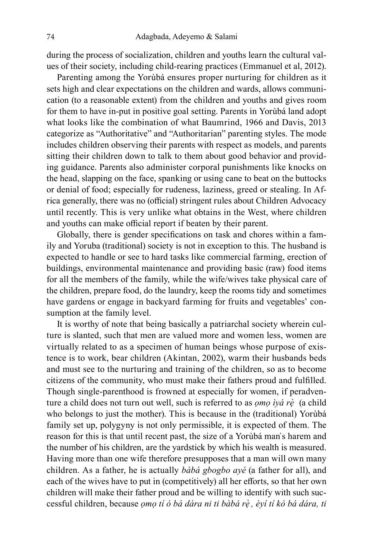during the process of socialization, children and youths learn the cultural values of their society, including child-rearing practices (Emmanuel et al, 2012).

Parenting among the Yorùbá ensures proper nurturing for children as it sets high and clear expectations on the children and wards, allows communication (to a reasonable extent) from the children and youths and gives room for them to have in-put in positive goal setting. Parents in Yorùbá land adopt what looks like the combination of what Baumrind, 1966 and Davis, 2013 categorize as "Authoritative" and "Authoritarian" parenting styles. The mode includes children observing their parents with respect as models, and parents sitting their children down to talk to them about good behavior and providing guidance. Parents also administer corporal punishments like knocks on the head, slapping on the face, spanking or using cane to beat on the buttocks or denial of food; especially for rudeness, laziness, greed or stealing. In Africa generally, there was no (official) stringent rules about Children Advocacy until recently. This is very unlike what obtains in the West, where children and youths can make official report if beaten by their parent.

Globally, there is gender specifications on task and chores within a family and Yoruba (traditional) society is not in exception to this. The husband is expected to handle or see to hard tasks like commercial farming, erection of buildings, environmental maintenance and providing basic (raw) food items for all the members of the family, while the wife/wives take physical care of the children, prepare food, do the laundry, keep the rooms tidy and sometimes have gardens or engage in backyard farming for fruits and vegetables' consumption at the family level.

It is worthy of note that being basically a patriarchal society wherein culture is slanted, such that men are valued more and women less, women are virtually related to as a specimen of human beings whose purpose of existence is to work, bear children (Akintan, 2002), warm their husbands beds and must see to the nurturing and training of the children, so as to become citizens of the community, who must make their fathers proud and fulfilled. Though single-parenthood is frowned at especially for women, if peradventure a child does not turn out well, such is referred to as *ọmọ ìyá rè ̣* (a child who belongs to just the mother). This is because in the (traditional) Yorùbá family set up, polygyny is not only permissible, it is expected of them. The reason for this is that until recent past, the size of a Yorùbá man`s harem and the number of his children, are the yardstick by which his wealth is measured. Having more than one wife therefore presupposes that a man will own many children. As a father, he is actually *bàbá gbogbo ayé* (a father for all), and each of the wives have to put in (competitively) all her efforts, so that her own children will make their father proud and be willing to identify with such successful children, because *ọmọ tí ó bá dára ni ti bàbá rè ̣, èyí tí kò bá dára, ti*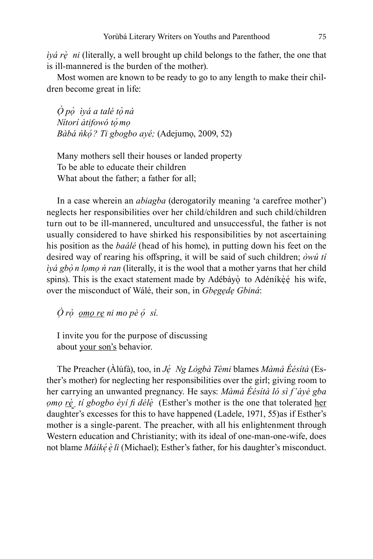*iyá rè ni* (literally, a well brought up child belongs to the father, the one that is ill-mannered is the burden of the mother).

Most women are known to be ready to go to any length to make their children become great in life:

*Ọ̀ pọ̀ ìyá a talé tọ̀nà Nítorí àtifowó tọ́mọ Bàbá ńkọ́? Ti gbogbo ayé;* (Adejumọ, 2009, 52)

Many mothers sell their houses or landed property To be able to educate their children What about the father; a father for all;

In a case wherein an *abiagba* (derogatorily meaning 'a carefree mother') neglects her responsibilities over her child/children and such child/children turn out to be ill-mannered, uncultured and unsuccessful, the father is not usually considered to have shirked his responsibilities by not ascertaining his position as the *baálé* (head of his home), in putting down his feet on the desired way of rearing his offspring, it will be said of such children; *òwú tí <u>ìyá gbò n lomo n ran</u>* (literally, it is the wool that a mother yarns that her child spins). This is the exact statement made by Adébáyò to Adéníkèé his wife, over the misconduct of Wálé, their son, in *Gbẹgẹdẹ Gbiná*:

*Ọ̀ rọ̀ ọmọ rẹ ni mo pè ọ́ sí.*

I invite you for the purpose of discussing about your son's behavior.

The Preacher (Àlúfà), too, in *Jé ̣ Ng Lògbà Tèmi* blames *Màmá Éésítà* (Esther's mother) for neglecting her responsibilities over the girl; giving room to her carrying an unwanted pregnancy. He says: *Màmá Éésítà ló sì f'àyè gba ọmọ rè ̣ tí gbogbo èyí fi délè ̣* (Esther's mother is the one that tolerated her daughter's excesses for this to have happened (Ladele, 1971, 55)as if Esther's mother is a single-parent. The preacher, with all his enlightenment through Western education and Christianity; with its ideal of one-man-one-wife, does not blame *Máíké ̣è ̣lì* (Michael); Esther's father, for his daughter's misconduct.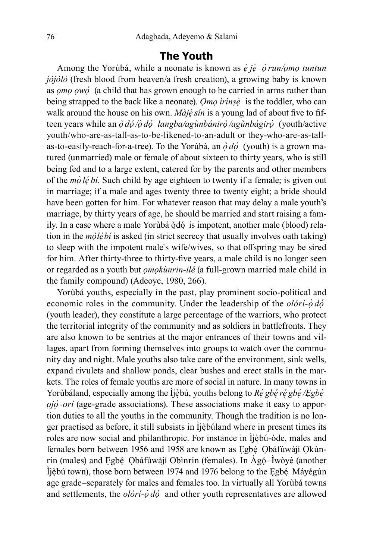#### **The Youth**

Among the Yorùbá, while a neonate is known as *è ̣jè ̣ ọ̀run/ọmọ tuntun jòjòló* (fresh blood from heaven/a fresh creation), a growing baby is known as *ọmọ ọwọ́* (a child that has grown enough to be carried in arms rather than being strapped to the back like a neonate). *Ọmọ ìrìnṣè ̣* is the toddler, who can walk around the house on his own. *Màjè ̣sín* is a young lad of about five to fifteen years while an *ọ̀dọ́/ọ̀dọ́ langba/agùnbánirọ̀/agùnbágirọ̀* (youth/active youth/who-are-as-tall-as-to-be-likened-to-an-adult or they-who-are-as-tallas-to-easily-reach-for-a-tree). To the Yorùbá, an  $\partial d\phi$  (youth) is a grown matured (unmarried) male or female of about sixteen to thirty years, who is still being fed and to a large extent, catered for by the parents and other members of the *mọ̀lé ̣bí*. Such child by age eighteen to twenty if a female; is given out in marriage; if a male and ages twenty three to twenty eight; a bride should have been gotten for him. For whatever reason that may delay a male youth's marriage, by thirty years of age, he should be married and start raising a family. In a case where a male Yorùbá ò dó is impotent, another male (blood) relation in the *mọ̀léḅ í* is asked (in strict secrecy that usually involves oath taking) to sleep with the impotent male`s wife/wives, so that offspring may be sired for him. After thirty-three to thirty-five years, a male child is no longer seen or regarded as a youth but *ọmọkùnrin-ilé* (a full-grown married male child in the family compound) (Adeoye, 1980, 266).

Yorùbá youths, especially in the past, play prominent socio-political and economic roles in the community. Under the leadership of the *olórí-ọ̀dọ́* (youth leader), they constitute a large percentage of the warriors, who protect the territorial integrity of the community and as soldiers in battlefronts. They are also known to be sentries at the major entrances of their towns and villages, apart from forming themselves into groups to watch over the community day and night. Male youths also take care of the environment, sink wells, expand rivulets and shallow ponds, clear bushes and erect stalls in the markets. The roles of female youths are more of social in nature. In many towns in Yorùbáland, especially among the Ìjèbú, youths belong to *Ré gbé ré gbé/Egbé ọjọ́-orí* (age-grade associations). These associations make it easy to apportion duties to all the youths in the community. Though the tradition is no longer practised as before, it still subsists in Ìjè búland where in present times its roles are now social and philanthropic. For instance in ljebú-òde, males and females born between 1956 and 1958 are known as Egbé Obáfùwàjí Okùnrin (males) and Ęgbé Qbáfùwàjí Obìnrin (females). In  $\angle$ gó– $\dot{I}$ wòyè (another Ìjè bú town), those born between 1974 and 1976 belong to the Egbé Máyégún age grade–separately for males and females too. In virtually all Yorùbá towns and settlements, the *olóri-ọ̀ do*<sup>*i*</sup> and other youth representatives are allowed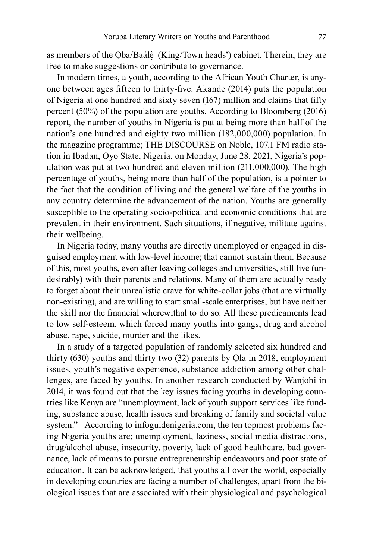as members of the Qba/Baálè (King/Town heads') cabinet. Therein, they are free to make suggestions or contribute to governance.

In modern times, a youth, according to the African Youth Charter, is anyone between ages fifteen to thirty-five. Akande (2014) puts the population of Nigeria at one hundred and sixty seven (167) million and claims that fifty percent (50%) of the population are youths. According to Bloomberg (2016) report, the number of youths in Nigeria is put at being more than half of the nation's one hundred and eighty two million (182,000,000) population. In the magazine programme; THE DISCOURSE on Noble, 107.1 FM radio station in Ibadan, Oyo State, Nigeria, on Monday, June 28, 2021, Nigeria's population was put at two hundred and eleven million (211,000,000). The high percentage of youths, being more than half of the population, is a pointer to the fact that the condition of living and the general welfare of the youths in any country determine the advancement of the nation. Youths are generally susceptible to the operating socio-political and economic conditions that are prevalent in their environment. Such situations, if negative, militate against their wellbeing.

In Nigeria today, many youths are directly unemployed or engaged in disguised employment with low-level income; that cannot sustain them. Because of this, most youths, even after leaving colleges and universities, still live (undesirably) with their parents and relations. Many of them are actually ready to forget about their unrealistic crave for white-collar jobs (that are virtually non-existing), and are willing to start small-scale enterprises, but have neither the skill nor the financial wherewithal to do so. All these predicaments lead to low self-esteem, which forced many youths into gangs, drug and alcohol abuse, rape, suicide, murder and the likes.

In a study of a targeted population of randomly selected six hundred and thirty (630) youths and thirty two (32) parents by Ọla in 2018, employment issues, youth's negative experience, substance addiction among other challenges, are faced by youths. In another research conducted by Wanjohi in 2014, it was found out that the key issues facing youths in developing countries like Kenya are "unemployment, lack of youth support services like funding, substance abuse, health issues and breaking of family and societal value system." According to infoguidenigeria.com, the ten topmost problems facing Nigeria youths are; unemployment, laziness, social media distractions, drug/alcohol abuse, insecurity, poverty, lack of good healthcare, bad governance, lack of means to pursue entrepreneurship endeavours and poor state of education. It can be acknowledged, that youths all over the world, especially in developing countries are facing a number of challenges, apart from the biological issues that are associated with their physiological and psychological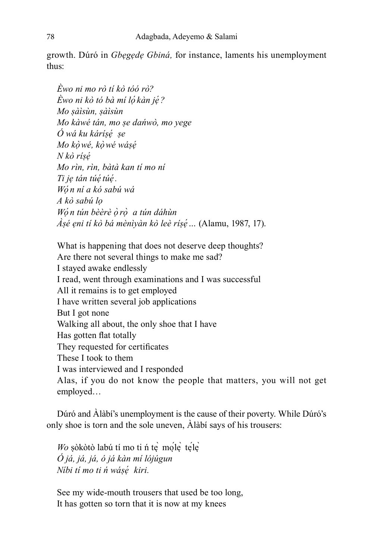growth. Dúró in *Gbẹgẹdẹ Gbiná,* for instance, laments his unemployment thus:

*Èwo ni mo rò tí kò tóó rò? Èwo ni kò tó bà mí lọ́kàn jé ̣? Mo ṣàìsùn, ṣàìsùn Mo kàwé tán, mo ṣe dańwò, mo yege Ó wá ku káríṣé ̣ ṣe Mo kọ̀wé, kọ̀wé wáṣé ̣ N kò ríṣé ̣ Mo rìn, rìn, bàtà kan tí mo ní Ti jẹ tán túé ̣túé ̣. Wọ́n ní a kó sabú wá A kò sabú lọ Wọ́n tún bèèrè ọ̀rọ̀ a tún dáhùn Àṣé ẹni tí kò bá mènìyàn kò leè ríṣé… ̣* (Alamu, 1987, 17).

What is happening that does not deserve deep thoughts? Are there not several things to make me sad? I stayed awake endlessly I read, went through examinations and I was successful All it remains is to get employed I have written several job applications But I got none Walking all about, the only shoe that I have Has gotten flat totally They requested for certificates These I took to them I was interviewed and I responded Alas, if you do not know the people that matters, you will not get employed…

Dúró and Àlàbí's unemployment is the cause of their poverty. While Dúró's only shoe is torn and the sole uneven, Àlàbí says of his trousers:

 $W$ o sòkòtò labú tí mo ti ń tè mole téle *Ó já, já, já, ó já kàn mí lójúgun Níbi tí mo ti ń wáṣé ̣ kiri.*

See my wide-mouth trousers that used be too long, It has gotten so torn that it is now at my knees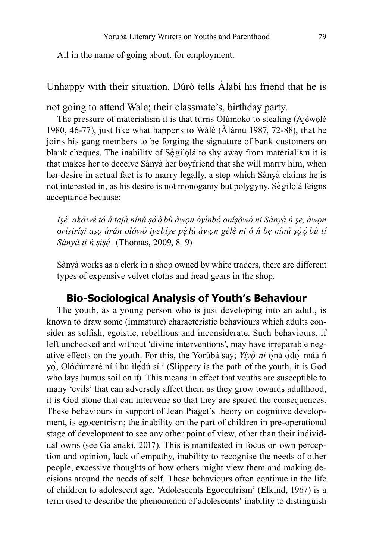All in the name of going about, for employment.

Unhappy with their situation, Dúró tells Àlàbí his friend that he is

not going to attend Wale; their classmate's, birthday party.

The pressure of materialism it is that turns Olúmokò to stealing (Ajéwọlé 1980, 46-77), just like what happens to Wálé (Àlàmú 1987, 72-88), that he joins his gang members to be forging the signature of bank customers on blank cheques. The inability of Segilola to shy away from materialism it is that makes her to deceive Sànyà her boyfriend that she will marry him, when her desire in actual fact is to marry legally, a step which Sànyà claims he is not interested in, as his desire is not monogamy but polygyny. Se`gilolá feigns acceptance because:

*Iṣé ̣ akọ̀wé tó ń tajà nínú ṣọ́ọ̀bù àwọn òyìnbó oníṣòwò ni Sànyà ń ṣe, àwọn oríṣiríṣi aṣọ àrán olówó iyebíye pè ̣lú àwọn gèlè ni ó ń bẹ nínú ṣọ́ọ̀bù tí Sànyà ti ń ṣiṣé ̣.* (Thomas, 2009, 8–9)

Sànyà works as a clerk in a shop owned by white traders, there are different types of expensive velvet cloths and head gears in the shop.

## **Bio-Sociological Analysis of Youth's Behaviour**

The youth, as a young person who is just developing into an adult, is known to draw some (immature) characteristic behaviours which adults consider as selfish, egoistic, rebellious and inconsiderate. Such behaviours, if left unchecked and without 'divine interventions', may have irreparable negative effects on the youth. For this, the Yorùbá say; *Yiyò ni* onà odo máa n yo, Olódùmarè ní í bu ìledú sí i (Slippery is the path of the youth, it is God who lays humus soil on it). This means in effect that youths are susceptible to many 'evils' that can adversely affect them as they grow towards adulthood, it is God alone that can intervene so that they are spared the consequences. These behaviours in support of Jean Piaget's theory on cognitive development, is egocentrism; the inability on the part of children in pre-operational stage of development to see any other point of view, other than their individual owns (see Galanaki, 2017). This is manifested in focus on own perception and opinion, lack of empathy, inability to recognise the needs of other people, excessive thoughts of how others might view them and making decisions around the needs of self. These behaviours often continue in the life of children to adolescent age. 'Adolescents Egocentrism' (Elkind, 1967) is a term used to describe the phenomenon of adolescents' inability to distinguish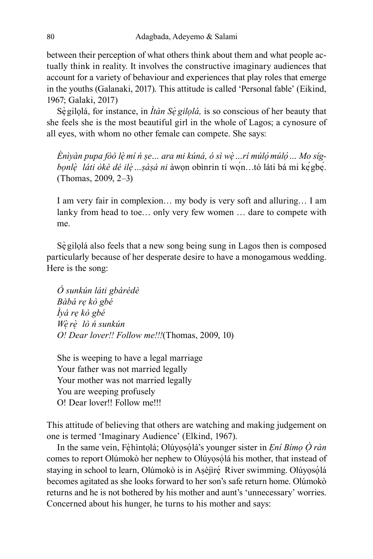between their perception of what others think about them and what people actually think in reality. It involves the constructive imaginary audiences that account for a variety of behaviour and experiences that play roles that emerge in the youths (Galanaki, 2017). This attitude is called 'Personal fable' (Eikind, 1967; Galaki, 2017)

Sè gilolá, for instance, in *Ìtàn Sè gilolá*, is so conscious of her beauty that she feels she is the most beautiful girl in the whole of Lagos; a cynosure of all eyes, with whom no other female can compete. She says:

*Ènìyàn pupa fòò lè ̣mí ń ṣe… ara mi kúná, ó sì wè…rí múlo ̣ ̣́múlọ́… Mo sígbonlè láti òkè dé ilè ...sàsà ni* àwon obìnrin tí won...tó láti bá mi ké gbé. (Thomas, 2009, 2–3)

I am very fair in complexion… my body is very soft and alluring… I am lanky from head to toe… only very few women … dare to compete with me.

Segilolá also feels that a new song being sung in Lagos then is composed particularly because of her desperate desire to have a monogamous wedding. Here is the song:

*Ó sunkún láti gbárédè Bàbá rẹ kò gbé Ìyá rẹ kò gbé Wè ̣rè ̣ lò ń sunkún O! Dear lover!! Follow me!!!*(Thomas, 2009, 10)

She is weeping to have a legal marriage Your father was not married legally Your mother was not married legally You are weeping profusely O! Dear lover!! Follow me!!!

This attitude of believing that others are watching and making judgement on one is termed 'Imaginary Audience' (Elkind, 1967).

In the same vein, Fè hìntọl ̣ á; Olúyọsó ḷá's younger sister in *Ẹní Bímọ Ọ̀ ràn* comes to report Olúmokò her nephew to Olúyọsó ḷá his mother, that instead of staying in school to learn, Olúmokò is in Aṣèjìré<sub>.</sub> River swimming. Olúyọsólá becomes agitated as she looks forward to her son's safe return home. Olúmokò returns and he is not bothered by his mother and aunt's 'unnecessary' worries. Concerned about his hunger, he turns to his mother and says: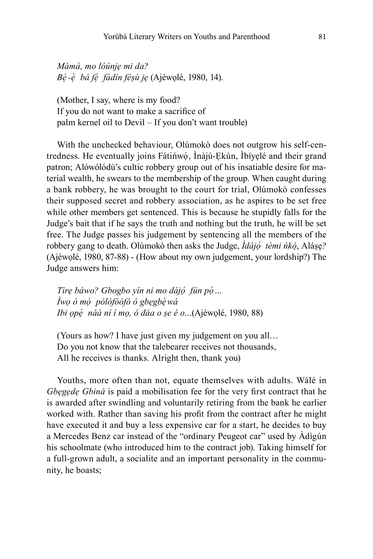*Màmá, mo lóúnjẹ mi da? Bé ̣-è ̣ bá fé ̣ fàdín féṣù jẹ* (Ajéwọlé, 1980, 14).

(Mother, I say, where is my food? If you do not want to make a sacrifice of palm kernel oil to Devil – If you don't want trouble)

With the unchecked behaviour, Olúmokò does not outgrow his self-centredness. He eventually joins Fátińwó, Ìnàjú-Ękùn, Ìbíyẹlé and their grand patron; Alówólódù's cultic robbery group out of his insatiable desire for material wealth, he swears to the membership of the group. When caught during a bank robbery, he was brought to the court for trial, Olúmokò confesses their supposed secret and robbery association, as he aspires to be set free while other members get sentenced. This is because he stupidly falls for the Judge's bait that if he says the truth and nothing but the truth, he will be set free. The Judge passes his judgement by sentencing all the members of the robbery gang to death. Olúmokò then asks the Judge, *Ìdájó tèmi ńkó*, Aláse? (Ajéwọlé, 1980, 87-88) - (How about my own judgement, your lordship?) The Judge answers him:

*Tìrẹ báwo? Gbogbo yín ni mo dájọ́ fún pọ̀… Ìwọ ò mọ̀ pólófòófó ò gbẹgbè ̣wá Ibi ọpé ̣ náà ní í mọ, ó dáa o ṣe é o…*(Ajéwọlé, 1980, 88)

(Yours as how? I have just given my judgement on you all… Do you not know that the talebearer receives not thousands, All he receives is thanks. Alright then, thank you)

Youths, more often than not, equate themselves with adults. Wálé in *Gbẹgẹdẹ Gbiná* is paid a mobilisation fee for the very first contract that he is awarded after swindling and voluntarily retiring from the bank he earlier worked with. Rather than saving his profit from the contract after he might have executed it and buy a less expensive car for a start, he decides to buy a Mercedes Benz car instead of the "ordinary Peugeot car" used by Àdìgún his schoolmate (who introduced him to the contract job). Taking himself for a full-grown adult, a socialite and an important personality in the community, he boasts;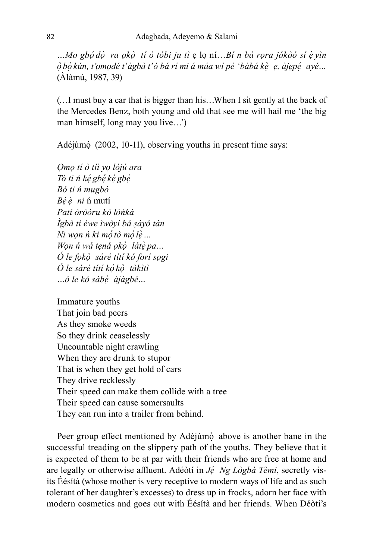*…Mo gbọ́dọ̀ ra ọkọ̀ tí ó tóbi ju tì* ẹ lọ ní…*Bí n bá rọra jókòó sí è ̣yìn ọ̀bọ̀kún, t'ọmọdé t'àgbà t'ó bá rí mi á máa wí pé 'bàbá kè ̣ ẹ, àjẹpé ̣ ayé…*  (Àlàmú, 1987, 39)

(…I must buy a car that is bigger than his…When I sit gently at the back of the Mercedes Benz, both young and old that see me will hail me 'the big man himself, long may you live…')

Adéjùmò  $(2002, 10-11)$ , observing youths in present time says:

*Ọmọ tí ò tíì yọ lójú ara Tó ti ń ké ̣gbé ̣ké ̣gbé ̣ Bó ti ń mugbó*  $B\acute{e}\acute{e}$  *ni* ń mutí *Patí òròòru kò lóǹkà Ìgbà tí èwe ìwòyí bá ṣáyó tán Ni won ń ki mó tò mó lè* ... *Wọn ń wá tẹná ọkọ̀ látè ̣pa… Ó le fọkọ̀ sáré títí kó forí sọgi Ó le sáré títí kọ́kọ̀ tàkìtì …ó le kó sábé ̣ àjàgbé…*

Immature youths That join bad peers As they smoke weeds So they drink ceaselessly Uncountable night crawling When they are drunk to stupor That is when they get hold of cars They drive recklessly Their speed can make them collide with a tree Their speed can cause somersaults They can run into a trailer from behind.

Peer group effect mentioned by Adéjùmò above is another bane in the successful treading on the slippery path of the youths. They believe that it is expected of them to be at par with their friends who are free at home and are legally or otherwise affluent. Adéòtí in *Jé ̣ Ng Lògbà Tèmi*, secretly visits Éésítà (whose mother is very receptive to modern ways of life and as such tolerant of her daughter's excesses) to dress up in frocks, adorn her face with modern cosmetics and goes out with Éésítà and her friends. When Déòtí's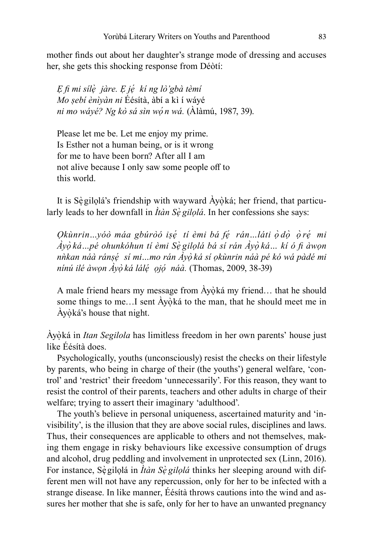mother finds out about her daughter's strange mode of dressing and accuses her, she gets this shocking response from Déòtí:

*Ẹ fi mi sílè ̣ jàre. Ẹ jé ̣ kí ng lò'gbà tèmí Mo ṣebí ènìyàn ni* Éésítà, àbí a kì í wáyé *ni mo wáyé? Ng kò sá sìn wọ́n wá.* (Àlàmú, 1987, 39).

Please let me be. Let me enjoy my prime. Is Esther not a human being, or is it wrong for me to have been born? After all I am not alive because I only saw some people off to this world.

It is Segilolá's friendship with wayward Ayòká; her friend, that particularly leads to her downfall in *Ìtàn Sè gilọlá*. In her confessions she says:

*Ọkùnrin…yóò máa gbúròó iṣé ̣ tí èmi bá fé ̣ rán…láti ọ̀dọ̀ ọ̀ré ̣ mi Àyọ̀ká…pé ohunkóhun tí èmi Sè ̣gilọlá bá sí rán Àyọ̀ká… kí ó fi àwọn nǹkan náà ránṣé ̣ sí mi…mo rán Àyọ̀ká sí ọkùnrin náà pé kó wá pàdé mi nínú ilé àwọn Àyọ̀ká lálé ̣ ọjọ́ náà.* (Thomas, 2009, 38-39)

A male friend hears my message from Ayòká my friend... that he should some things to me...I sent Ayòká to the man, that he should meet me in Àyòká's house that night.

Àyòḳ á in *Itan Segilola* has limitless freedom in her own parents' house just like Éésítà does.

Psychologically, youths (unconsciously) resist the checks on their lifestyle by parents, who being in charge of their (the youths') general welfare, 'control' and 'restrict' their freedom 'unnecessarily'. For this reason, they want to resist the control of their parents, teachers and other adults in charge of their welfare; trying to assert their imaginary 'adulthood'.

The youth's believe in personal uniqueness, ascertained maturity and 'invisibility', is the illusion that they are above social rules, disciplines and laws. Thus, their consequences are applicable to others and not themselves, making them engage in risky behaviours like excessive consumption of drugs and alcohol, drug peddling and involvement in unprotected sex (Linn, 2016). For instance, Sè gilolá in *Ìtàn Sè gilolá* thinks her sleeping around with different men will not have any repercussion, only for her to be infected with a strange disease. In like manner, Éésítà throws cautions into the wind and assures her mother that she is safe, only for her to have an unwanted pregnancy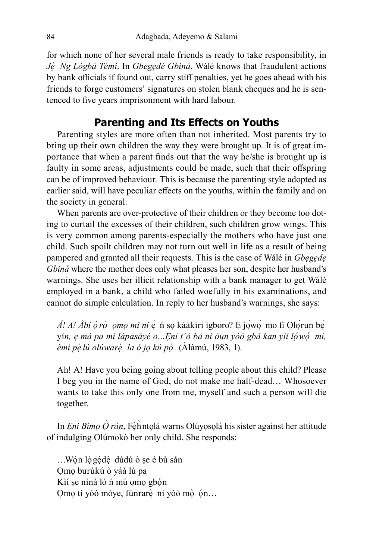for which none of her several male friends is ready to take responsibility, in *Jé ̣ Ng Lògbà Tèmi*. In *Gbẹgẹdé Gbiná*, Wálé knows that fraudulent actions by bank officials if found out, carry stiff penalties, yet he goes ahead with his friends to forge customers' signatures on stolen blank cheques and he is sentenced to five years imprisonment with hard labour.

# **Parenting and Its Effects on Youths**

Parenting styles are more often than not inherited. Most parents try to bring up their own children the way they were brought up. It is of great importance that when a parent finds out that the way he/she is brought up is faulty in some areas, adjustments could be made, such that their offspring can be of improved behaviour. This is because the parenting style adopted as earlier said, will have peculiar effects on the youths, within the family and on the society in general.

When parents are over-protective of their children or they become too doting to curtail the excesses of their children, such children grow wings. This is very common among parents-especially the mothers who have just one child. Such spoilt children may not turn out well in life as a result of being pampered and granted all their requests. This is the case of Wálé in *Gbẹgẹdẹ Gbiná* where the mother does only what pleases her son, despite her husband's warnings. She uses her illicit relationship with a bank manager to get Wálé employed in a bank, a child who failed woefully in his examinations, and cannot do simple calculation. In reply to her husband's warnings, she says:

*Á! A! Àbí ọ̀ rọ̀ ọmọ mi ni* e n sọ káàkiri ìgboro? E jọwọ mo fi Ọlọ run be yí*n, ẹ má pa mí lápasáyé o…Ẹni t'ó bá ní òun yóò gbà kan yìí lọ́wọ́ mi, èmi pè ̣lú olúwarè ̣ la ó jọ kú pọ̀.* (Àlàmú, 1983, 1).

Ah! A! Have you being going about telling people about this child? Please I beg you in the name of God, do not make me half-dead… Whosoever wants to take this only one from me, myself and such a person will die together.

In *Eni Bímọ Q ràn*, Fèhntolá warns Olúyọsọlá his sister against her attitude of indulging Olúmokò her only child. She responds:

…Wón ló gèdè dúdú ò se é bù sán Ọmọ burúkú ò yáá lù pa Kìí se nínà ló ń mú ọmọ gbón Omo tí yóò mòye, fúnrarè ni yóò mò ón...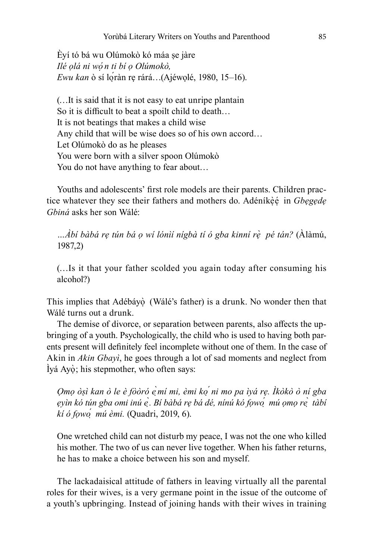Èyí tó bá wu Olúmokò kó máa ṣe jàre *Ilé ọlá ni wọ́n ti bí ọ Olúmokò, Ewu kan* ò sí lóràn re rárá...(Ajéwolé, 1980, 15–16).

(…It is said that it is not easy to eat unripe plantain So it is difficult to beat a spoilt child to death… It is not beatings that makes a child wise Any child that will be wise does so of his own accord… Let Olúmokò do as he pleases You were born with a silver spoon Olúmokò You do not have anything to fear about…

Youths and adolescents' first role models are their parents. Children practice whatever they see their fathers and mothers do. Adéníkèé in Gbegede *Gbiná* asks her son Wálé:

*…Àbí bàbá rẹ tún bá ọ wí lónìí nígbà tí ó gba kinní rè ̣ pé tán?* (Àlàmú, 1987,2)

(…Is it that your father scolded you again today after consuming his alcohol?)

This implies that Adébáyò (Wálé's father) is a drunk. No wonder then that Wálé turns out a drunk.

The demise of divorce, or separation between parents, also affects the upbringing of a youth. Psychologically, the child who is used to having both parents present will definitely feel incomplete without one of them. In the case of Akin in *Akin Gbayì*, he goes through a lot of sad moments and neglect from Ìyá Ayò; his stepmother, who often says: ̣

*Ọmọ òṣì kan ò le è fòòró è ̣mí mi, èmi ko ̣́ ni mo pa ìyá rẹ. Ìkòkò ò ní gba ẹyìn kó tún gba omi inú è ̣. Bí bàbá rẹ bá dé, nínú kó fọwó ̣ mú ọmọ rè ̣ tàbí kí ó fọwó ̣ mú èmi.* (Quadri, 2019, 6).

One wretched child can not disturb my peace, I was not the one who killed his mother. The two of us can never live together. When his father returns, he has to make a choice between his son and myself.

The lackadaisical attitude of fathers in leaving virtually all the parental roles for their wives, is a very germane point in the issue of the outcome of a youth's upbringing. Instead of joining hands with their wives in training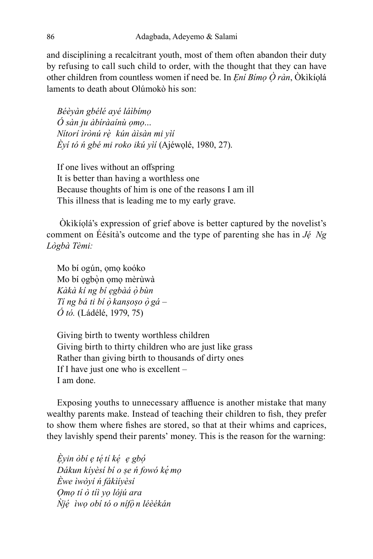and disciplining a recalcitrant youth, most of them often abandon their duty by refusing to call such child to order, with the thought that they can have other children from countless women if need be. In *Ẹní Bímọ Ọ̀ ràn*, Òkìkíọlá laments to death about Olúmokò his son:

*Béèyàn gbélé ayé láìbímọ Ó sàn ju àbíràaínù ọmọ… Nítorí ìrònú rè ̣ kún àìsàn mi yìí Èyí tó ń gbé mi roko ikú yìí* (Ajéwọlé, 1980, 27).

If one lives without an offspring It is better than having a worthless one Because thoughts of him is one of the reasons I am ill This illness that is leading me to my early grave.

 Òkìkíọlá's expression of grief above is better captured by the novelist's comment on Éésítà's outcome and the type of parenting she has in *Jé ̣ Ng Lògbà Tèmi:*

Mo bí ogún, ọmọ koóko Mo bí ogbòn omo mèrùwà *Kàkà kí ng bí ẹgbàá ọ̀bùn Tí ng bá ti bí ọ̀kanṣoṣo ọ̀gá – Ó tó.* (Ládélé, 1979, 75)

Giving birth to twenty worthless children Giving birth to thirty children who are just like grass Rather than giving birth to thousands of dirty ones If I have just one who is excellent – I am done.

Exposing youths to unnecessary affluence is another mistake that many wealthy parents make. Instead of teaching their children to fish, they prefer to show them where fishes are stored, so that at their whims and caprices, they lavishly spend their parents' money. This is the reason for the warning:

*Èyin ̣ òbí ẹ té ̣tí ké ̣ ẹ gbọ́ Dákun kíyèsí bí o ṣe ń fowó ké ̣mọ Èwe ìwòyí ń fákìíyèsí Ọmọ tí ò tíì yọ lójú ara Ǹjé ̣ ìwọ obí tó o nífọ̀n léèékán*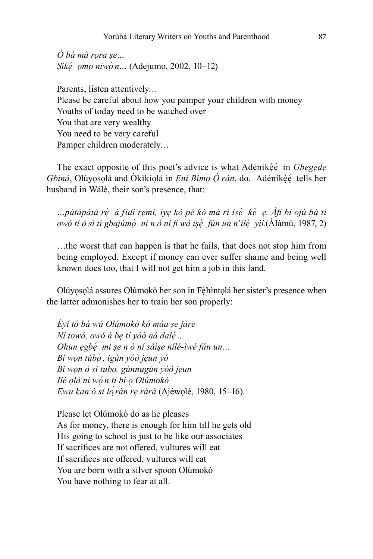*Ò bá mà rọra ṣe… Ṣìké ̣ ọmọ níwọ̀n…* (Adejumo, 2002, 10–12)

Parents, listen attentively… Please be careful about how you pamper your children with money Youths of today need to be watched over You that are very wealthy You need to be very careful Pamper children moderately…

The exact opposite of this poet's advice is what Adéníkèé in *Gbegede Gbiná*, Olúyọsọlá and Òkìkíọlá in *Ẹní Bímọ Ọ̀ ràn*, do. Adéníkè ẹ ́ ̣ tells her husband in Wálé, their son's presence, that:

*…pátápátá rè ̣ á fìdí rẹmi, ìyẹ kò pé kó má rí iṣé ̣ kè ̣ ẹ. Àfi bí ojú bá ti owó tí ó sì ti gbajúmọ̀ ni n ò ní fi wá iṣé ̣ fún un n'ílè ̣ yìí.*(Àlàmú, 1987, 2)

…the worst that can happen is that he fails, that does not stop him from being employed. Except if money can ever suffer shame and being well known does too, that I will not get him a job in this land.

Olúyọsọlá assures Olúmokò her son in Fèhìntọlá her sister's presence when the latter admonishes her to train her son properly:

*Èyí tó bá wú Olúmokò kó máa ṣe jàre Ní towó, owó ń bẹ tí yóò ná dalé…̣ Ohun ẹgbé ̣ mi ṣe n ò ní sàìṣe nílé-ìwé fún un… Bí wọn túbọ̀, igún yóò jẹun yó Bí wọn ò sì tubọ, gúnnugún yóò jẹun Ilé ọlá ni wọ́n ti bí ọ Olúmokò Ewu kan ò sí ló ̣ràn rẹ rárá* (Ajéwọlé, 1980, 15–16).

Please let Olúmokò do as he pleases As for money, there is enough for him till he gets old His going to school is just to be like our associates If sacrifices are not offered, vultures will eat If sacrifices are offered, vultures will eat You are born with a silver spoon Olúmokò You have nothing to fear at all.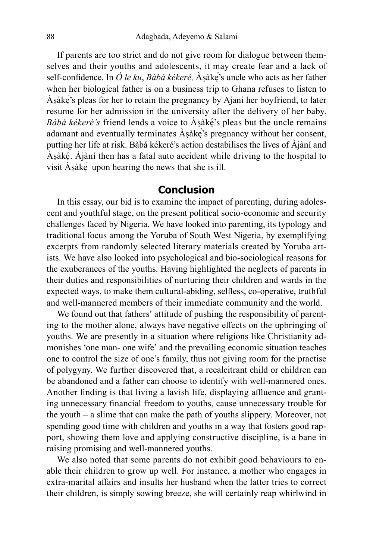If parents are too strict and do not give room for dialogue between themselves and their youths and adolescents, it may create fear and a lack of self-confidence. In *Ó le ku*, *Bàbá kékeré,* Àṣàké ̣'s uncle who acts as her father when her biological father is on a business trip to Ghana refuses to listen to Àṣàké ̣'s pleas for her to retain the pregnancy by Ajani her boyfriend, to later resume for her admission in the university after the delivery of her baby. *Bàbá kékeré's* friend lends a voice to Àṣàké 's pleas but the uncle remains ̣ adamant and eventually terminates Àṣàke's pregnancy without her consent, putting her life at risk. Bàbá kékeré's action destabilises the lives of Àjàní and Àṣàké . Àjàní then has a fatal auto accident while driving to the hospital to ̣ visit  $\hat{A}$ sàké upon hearing the news that she is ill.

#### **Conclusion**

In this essay, our bid is to examine the impact of parenting, during adolescent and youthful stage, on the present political socio-economic and security challenges faced by Nigeria. We have looked into parenting, its typology and traditional focus among the Yoruba of South West Nigeria, by exemplifying excerpts from randomly selected literary materials created by Yoruba artists. We have also looked into psychological and bio-sociological reasons for the exuberances of the youths. Having highlighted the neglects of parents in their duties and responsibilities of nurturing their children and wards in the expected ways, to make them cultural-abiding, selfless, co-operative, truthful and well-mannered members of their immediate community and the world.

We found out that fathers' attitude of pushing the responsibility of parenting to the mother alone, always have negative effects on the upbringing of youths. We are presently in a situation where religions like Christianity admonishes 'one man- one wife' and the prevailing economic situation teaches one to control the size of one's family, thus not giving room for the practise of polygyny. We further discovered that, a recalcitrant child or children can be abandoned and a father can choose to identify with well-mannered ones. Another finding is that living a lavish life, displaying affluence and granting unnecessary financial freedom to youths, cause unnecessary trouble for the youth – a slime that can make the path of youths slippery. Moreover, not spending good time with children and youths in a way that fosters good rapport, showing them love and applying constructive discipline, is a bane in raising promising and well-mannered youths.

We also noted that some parents do not exhibit good behaviours to enable their children to grow up well. For instance, a mother who engages in extra-marital affairs and insults her husband when the latter tries to correct their children, is simply sowing breeze, she will certainly reap whirlwind in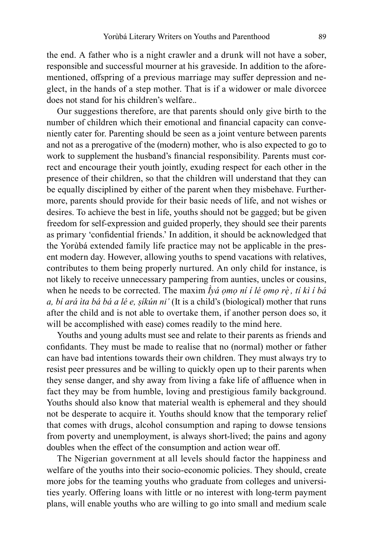the end. A father who is a night crawler and a drunk will not have a sober, responsible and successful mourner at his graveside. In addition to the aforementioned, offspring of a previous marriage may suffer depression and neglect, in the hands of a step mother. That is if a widower or male divorcee does not stand for his children's welfare..

Our suggestions therefore, are that parents should only give birth to the number of children which their emotional and financial capacity can conveniently cater for. Parenting should be seen as a joint venture between parents and not as a prerogative of the (modern) mother, who is also expected to go to work to supplement the husband's financial responsibility. Parents must correct and encourage their youth jointly, exuding respect for each other in the presence of their children, so that the children will understand that they can be equally disciplined by either of the parent when they misbehave. Furthermore, parents should provide for their basic needs of life, and not wishes or desires. To achieve the best in life, youths should not be gagged; but be given freedom for self-expression and guided properly, they should see their parents as primary 'confidential friends.' In addition, it should be acknowledged that the Yorùbá extended family life practice may not be applicable in the present modern day. However, allowing youths to spend vacations with relatives, contributes to them being properly nurtured. An only child for instance, is not likely to receive unnecessary pampering from aunties, uncles or cousins, when he needs to be corrected. The maxim *Ìyá ọmọ ní í lé ọmọ rè ̣, tí kì í bá a, bí ará ìta bá bá a lé e, ṣíkún ni'* (It is a child's (biological) mother that runs after the child and is not able to overtake them, if another person does so, it will be accomplished with ease) comes readily to the mind here.

Youths and young adults must see and relate to their parents as friends and confidants. They must be made to realise that no (normal) mother or father can have bad intentions towards their own children. They must always try to resist peer pressures and be willing to quickly open up to their parents when they sense danger, and shy away from living a fake life of affluence when in fact they may be from humble, loving and prestigious family background. Youths should also know that material wealth is ephemeral and they should not be desperate to acquire it. Youths should know that the temporary relief that comes with drugs, alcohol consumption and raping to dowse tensions from poverty and unemployment, is always short-lived; the pains and agony doubles when the effect of the consumption and action wear off.

The Nigerian government at all levels should factor the happiness and welfare of the youths into their socio-economic policies. They should, create more jobs for the teaming youths who graduate from colleges and universities yearly. Offering loans with little or no interest with long-term payment plans, will enable youths who are willing to go into small and medium scale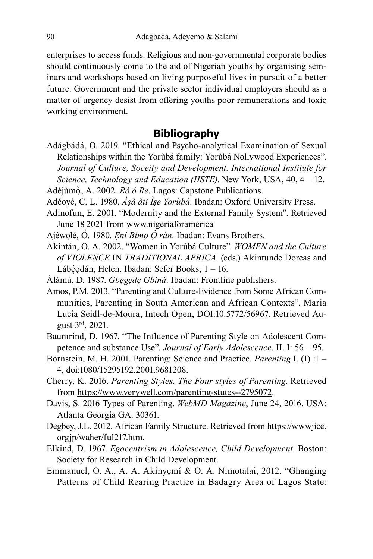enterprises to access funds. Religious and non-governmental corporate bodies should continuously come to the aid of Nigerian youths by organising seminars and workshops based on living purposeful lives in pursuit of a better future. Government and the private sector individual employers should as a matter of urgency desist from offering youths poor remunerations and toxic working environment.

# **Bibliography**

- Adágbádá, O. 2019. "Ethical and Psycho-analytical Examination of Sexual Relationships within the Yorùbá family: Yorùbá Nollywood Experiences". *Journal of Culture, Soceity and Development. International Institute for Science, Technology and Education (IISTE)*. New York, USA, 40, 4 – 12.
- Adéjùmò, A. 2002. Rò ó Re. Lagos: Capstone Publications.
- Adéoyè, C. L. 1980. *Àṣà àti Ìṣe Yorùbá*. Ibadan: Oxford University Press.
- Adinofun, E. 2001. "Modernity and the External Family System". Retrieved June 18<sub>,</sub>2021 from www.nigeriaforamerica
- Ajéwọlé, O. 1980. *Ẹní Bímọ Ọ̀ ràn*. Ibadan: Evans Brothers.
- Akíntán, O. A. 2002. "Women in Yorùbá Culture". *WOMEN and the Culture of VIOLENCE* IN *TRADITIONAL AFRICA.* (eds.) Akintunde Dorcas and Lábéodán, Helen. Ibadan: Sefer Books, 1 – 16.
- Àlàmú, D. 1987. *Gbẹgẹdẹ Gbiná*. Ibadan: Frontline publishers.
- Amos, P.M. 2013. "Parenting and Culture-Evidence from Some African Communities, Parenting in South American and African Contexts". Maria Lucia Seidl-de-Moura, Intech Open, DOI:10.5772/56967. Retrieved August 3rd, 2021.
- Baumrind, D. 1967. "The Influence of Parenting Style on Adolescent Competence and substance Use". *Journal of Early Adolescence*. II. I: 56 – 95.
- Bornstein, M. H. 2001. Parenting: Science and Practice. *Parenting* I. (1) :1 4, doi:1080/15295192.2001.9681208.
- Cherry, K. 2016. *Parenting Styles. The Four styles of Parenting*. Retrieved from https://www.verywell.com/parenting-stutes--2795072.
- Davis, S. 2016 Types of Parenting. *WebMD Magazine*, June 24, 2016. USA: Atlanta Georgia GA. 30361.
- Degbey, J.L. 2012. African Family Structure. Retrieved from https://wwwjice. orgjp/waher/ful217.htm.
- Elkind, D. 1967. *Egocentrism in Adolescence, Child Development*. Boston: Society for Research in Child Development.
- Emmanuel, O. A., A. A. Akínyẹmí & O. A. Nimotalai, 2012. "Ghanging Patterns of Child Rearing Practice in Badagry Area of Lagos State: